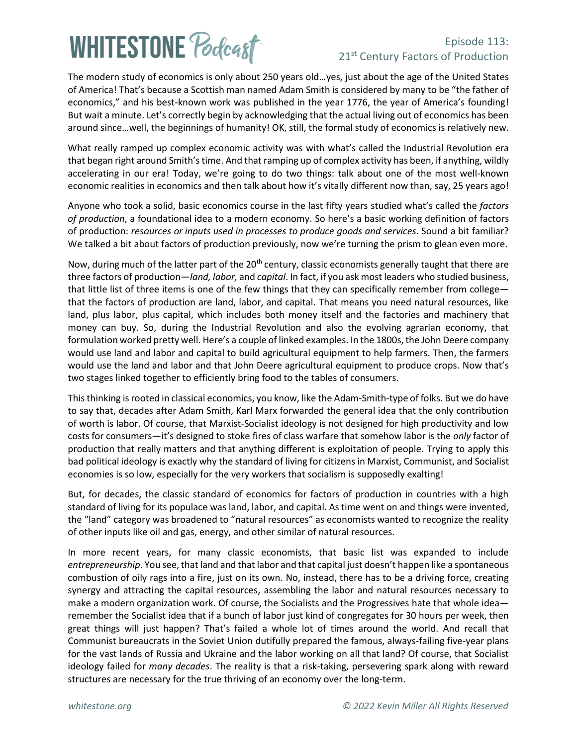# **WHITESTONE Poclast**

#### Episode 113: 21<sup>st</sup> Century Factors of Production

The modern study of economics is only about 250 years old…yes, just about the age of the United States of America! That's because a Scottish man named Adam Smith is considered by many to be "the father of economics," and his best-known work was published in the year 1776, the year of America's founding! But wait a minute. Let's correctly begin by acknowledging that the actual living out of economics has been around since…well, the beginnings of humanity! OK, still, the formal study of economics is relatively new.

What really ramped up complex economic activity was with what's called the Industrial Revolution era that began right around Smith's time. And that ramping up of complex activity has been, if anything, wildly accelerating in our era! Today, we're going to do two things: talk about one of the most well-known economic realities in economics and then talk about how it's vitally different now than, say, 25 years ago!

Anyone who took a solid, basic economics course in the last fifty years studied what's called the *factors of production*, a foundational idea to a modern economy. So here's a basic working definition of factors of production: *resources or inputs used in processes to produce goods and services*. Sound a bit familiar? We talked a bit about factors of production previously, now we're turning the prism to glean even more.

Now, during much of the latter part of the 20<sup>th</sup> century, classic economists generally taught that there are three factors of production—*land, labor,* and *capital*. In fact, if you ask most leaders who studied business, that little list of three items is one of the few things that they can specifically remember from college that the factors of production are land, labor, and capital. That means you need natural resources, like land, plus labor, plus capital, which includes both money itself and the factories and machinery that money can buy. So, during the Industrial Revolution and also the evolving agrarian economy, that formulation worked pretty well. Here's a couple of linked examples. In the 1800s, the John Deere company would use land and labor and capital to build agricultural equipment to help farmers. Then, the farmers would use the land and labor and that John Deere agricultural equipment to produce crops. Now that's two stages linked together to efficiently bring food to the tables of consumers.

This thinking is rooted in classical economics, you know, like the Adam-Smith-type of folks. But we do have to say that, decades after Adam Smith, Karl Marx forwarded the general idea that the only contribution of worth is labor. Of course, that Marxist-Socialist ideology is not designed for high productivity and low costs for consumers—it's designed to stoke fires of class warfare that somehow labor is the *only* factor of production that really matters and that anything different is exploitation of people. Trying to apply this bad political ideology is exactly why the standard of living for citizensin Marxist, Communist, and Socialist economies is so low, especially for the very workers that socialism is supposedly exalting!

But, for decades, the classic standard of economics for factors of production in countries with a high standard of living for its populace was land, labor, and capital. As time went on and things were invented, the "land" category was broadened to "natural resources" as economists wanted to recognize the reality of other inputs like oil and gas, energy, and other similar of natural resources.

In more recent years, for many classic economists, that basic list was expanded to include entrepreneurship. You see, that land and that labor and that capital just doesn't happen like a spontaneous combustion of oily rags into a fire, just on its own. No, instead, there has to be a driving force, creating synergy and attracting the capital resources, assembling the labor and natural resources necessary to make a modern organization work. Of course, the Socialists and the Progressives hate that whole idea remember the Socialist idea that if a bunch of labor just kind of congregates for 30 hours per week, then great things will just happen? That's failed a whole lot of times around the world. And recall that Communist bureaucrats in the Soviet Union dutifully prepared the famous, always-failing five-year plans for the vast lands of Russia and Ukraine and the labor working on all that land? Of course, that Socialist ideology failed for *many decades*. The reality is that a risk-taking, persevering spark along with reward structures are necessary for the true thriving of an economy over the long-term.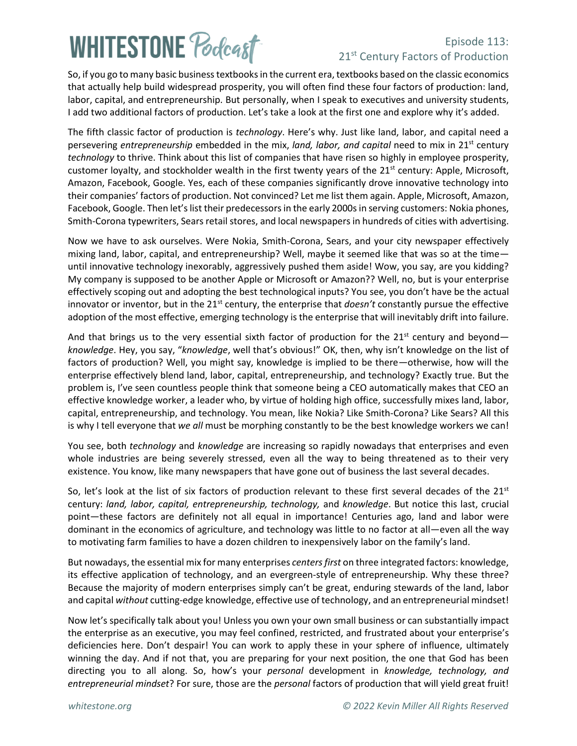## **WHITESTONE Poclast**

### Episode 113: 21<sup>st</sup> Century Factors of Production

So, if you go to many basic business textbooks in the current era, textbooks based on the classic economics that actually help build widespread prosperity, you will often find these four factors of production: land, labor, capital, and entrepreneurship. But personally, when I speak to executives and university students, I add two additional factors of production. Let's take a look at the first one and explore why it's added.

The fifth classic factor of production is *technology*. Here's why. Just like land, labor, and capital need a persevering *entrepreneurship* embedded in the mix, *land, labor, and capital* need to mix in 21st century *technology* to thrive. Think about this list of companies that have risen so highly in employee prosperity, customer loyalty, and stockholder wealth in the first twenty years of the  $21<sup>st</sup>$  century: Apple, Microsoft, Amazon, Facebook, Google. Yes, each of these companies significantly drove innovative technology into their companies' factors of production. Not convinced? Let me list them again. Apple, Microsoft, Amazon, Facebook, Google. Then let's list their predecessors in the early 2000s in serving customers: Nokia phones, Smith-Corona typewriters, Sears retail stores, and local newspapers in hundreds of cities with advertising.

Now we have to ask ourselves. Were Nokia, Smith-Corona, Sears, and your city newspaper effectively mixing land, labor, capital, and entrepreneurship? Well, maybe it seemed like that was so at the time until innovative technology inexorably, aggressively pushed them aside! Wow, you say, are you kidding? My company is supposed to be another Apple or Microsoft or Amazon?? Well, no, but is your enterprise effectively scoping out and adopting the best technological inputs? You see, you don't have be the actual innovator or inventor, but in the 21<sup>st</sup> century, the enterprise that *doesn't* constantly pursue the effective adoption of the most effective, emerging technology is the enterprise that will inevitably drift into failure.

And that brings us to the very essential sixth factor of production for the 21st century and beyond *knowledge*. Hey, you say, "*knowledge*, well that's obvious!" OK, then, why isn't knowledge on the list of factors of production? Well, you might say, knowledge is implied to be there—otherwise, how will the enterprise effectively blend land, labor, capital, entrepreneurship, and technology? Exactly true. But the problem is, I've seen countless people think that someone being a CEO automatically makes that CEO an effective knowledge worker, a leader who, by virtue of holding high office, successfully mixes land, labor, capital, entrepreneurship, and technology. You mean, like Nokia? Like Smith-Corona? Like Sears? All this is why I tell everyone that *we all* must be morphing constantly to be the best knowledge workers we can!

You see, both *technology* and *knowledge* are increasing so rapidly nowadays that enterprises and even whole industries are being severely stressed, even all the way to being threatened as to their very existence. You know, like many newspapers that have gone out of business the last several decades.

So, let's look at the list of six factors of production relevant to these first several decades of the 21st century: *land, labor, capital, entrepreneurship, technology,* and *knowledge*. But notice this last, crucial point—these factors are definitely not all equal in importance! Centuries ago, land and labor were dominant in the economics of agriculture, and technology was little to no factor at all—even all the way to motivating farm families to have a dozen children to inexpensively labor on the family's land.

But nowadays, the essential mix for many enterprises *centersfirst* on three integrated factors: knowledge, its effective application of technology, and an evergreen-style of entrepreneurship. Why these three? Because the majority of modern enterprises simply can't be great, enduring stewards of the land, labor and capital *without* cutting-edge knowledge, effective use of technology, and an entrepreneurial mindset!

Now let's specifically talk about you! Unless you own your own small business or can substantially impact the enterprise as an executive, you may feel confined, restricted, and frustrated about your enterprise's deficiencies here. Don't despair! You can work to apply these in your sphere of influence, ultimately winning the day. And if not that, you are preparing for your next position, the one that God has been directing you to all along. So, how's your *personal* development in *knowledge, technology, and entrepreneurial mindset*? For sure, those are the *personal* factors of production that will yield great fruit!